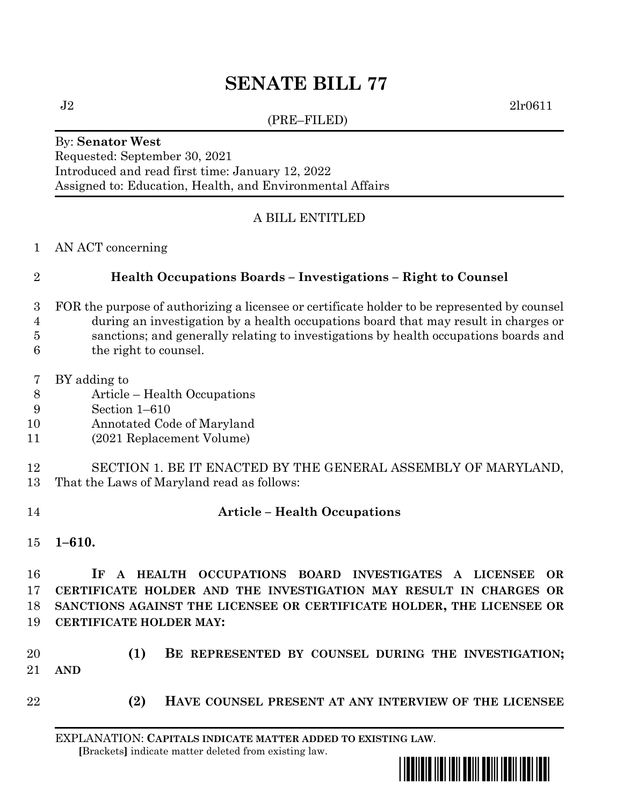# **SENATE BILL 77**

(PRE–FILED)

 $J2 \t2l r0611$ 

#### By: **Senator West** Requested: September 30, 2021 Introduced and read first time: January 12, 2022 Assigned to: Education, Health, and Environmental Affairs

## A BILL ENTITLED

AN ACT concerning

## **Health Occupations Boards – Investigations – Right to Counsel**

- FOR the purpose of authorizing a licensee or certificate holder to be represented by counsel
- during an investigation by a health occupations board that may result in charges or sanctions; and generally relating to investigations by health occupations boards and
- the right to counsel.
- BY adding to
- Article Health Occupations
- Section 1–610
- Annotated Code of Maryland
- (2021 Replacement Volume)
- SECTION 1. BE IT ENACTED BY THE GENERAL ASSEMBLY OF MARYLAND, That the Laws of Maryland read as follows:
- 

#### **Article – Health Occupations**

**1–610.**

 **IF A HEALTH OCCUPATIONS BOARD INVESTIGATES A LICENSEE OR CERTIFICATE HOLDER AND THE INVESTIGATION MAY RESULT IN CHARGES OR SANCTIONS AGAINST THE LICENSEE OR CERTIFICATE HOLDER, THE LICENSEE OR CERTIFICATE HOLDER MAY:**

 **(1) BE REPRESENTED BY COUNSEL DURING THE INVESTIGATION; AND**

- 
- **(2) HAVE COUNSEL PRESENT AT ANY INTERVIEW OF THE LICENSEE**